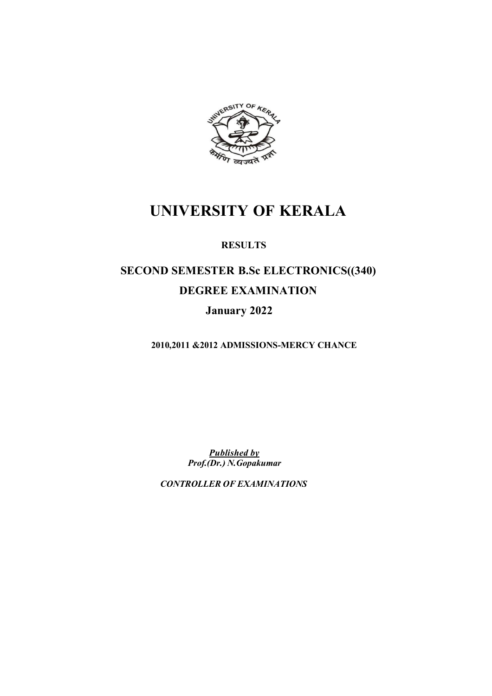

## **UNIVERSITY OF KERALA**

### **RESULTS**

# **SECOND SEMESTER B.Sc ELECTRONICS((340) DEGREE EXAMINATION**

## **January 2022**

 **2010,2011 &2012 ADMISSIONS-MERCY CHANCE**

 *Published by Prof.(Dr.) N.Gopakumar*

 *CONTROLLER OF EXAMINATIONS*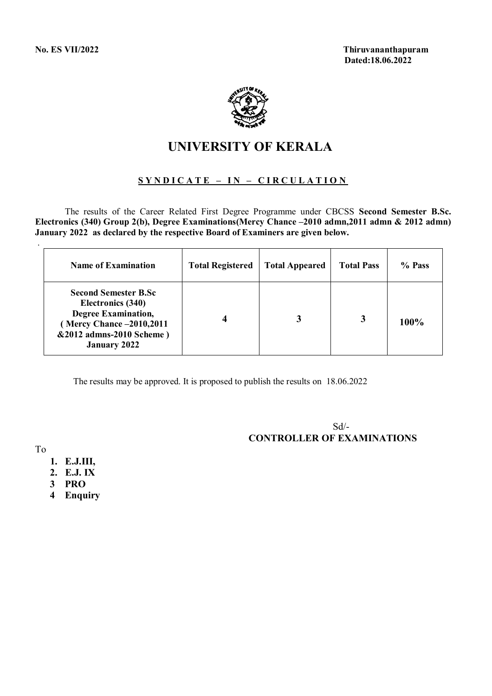

## **UNIVERSITY OF KERALA**

### **S Y N D I C A T E – I N – C I R C U L A T I O N**

The results of the Career Related First Degree Programme under CBCSS **Second Semester B.Sc. Electronics (340) Group 2(b), Degree Examinations(Mercy Chance –2010 admn,2011 admn & 2012 admn) January 2022 as declared by the respective Board of Examiners are given below.**

| <b>Name of Examination</b>                                                                                                                                    | <b>Total Registered</b> | <b>Total Appeared</b> | <b>Total Pass</b> | % Pass |
|---------------------------------------------------------------------------------------------------------------------------------------------------------------|-------------------------|-----------------------|-------------------|--------|
| <b>Second Semester B.Sc</b><br>Electronics (340)<br><b>Degree Examination,</b><br>(Mercy Chance -2010,2011<br>&2012 admns-2010 Scheme)<br><b>January 2022</b> |                         |                       | 3                 | 100%   |

The results may be approved. It is proposed to publish the results on 18.06.2022

 Sd/- **CONTROLLER OF EXAMINATIONS**

To

- **1. E.J.III,**
- **2. E.J. IX**
- **3 PRO**
- **4 Enquiry**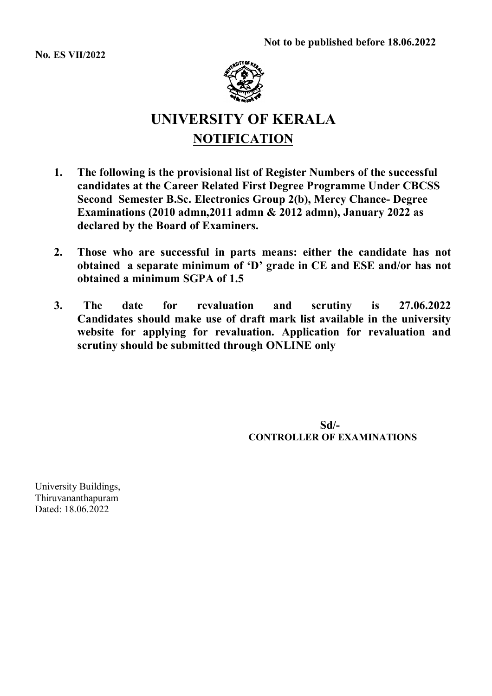**No. ES VII/2022**



## **UNIVERSITY OF KERALA NOTIFICATION**

- **1. The following is the provisional list of Register Numbers of the successful candidates at the Career Related First Degree Programme Under CBCSS Second Semester B.Sc. Electronics Group 2(b), Mercy Chance- Degree Examinations (2010 admn,2011 admn & 2012 admn), January 2022 as declared by the Board of Examiners.**
- **2. Those who are successful in parts means: either the candidate has not obtained a separate minimum of 'D' grade in CE and ESE and/or has not obtained a minimum SGPA of 1.5**
- **3. The date for revaluation and scrutiny is 27.06.2022 Candidates should make use of draft mark list available in the university website for applying for revaluation. Application for revaluation and scrutiny should be submitted through ONLINE only**

 **Sd/- CONTROLLER OF EXAMINATIONS**

University Buildings, Thiruvananthapuram Dated: 18.06.2022